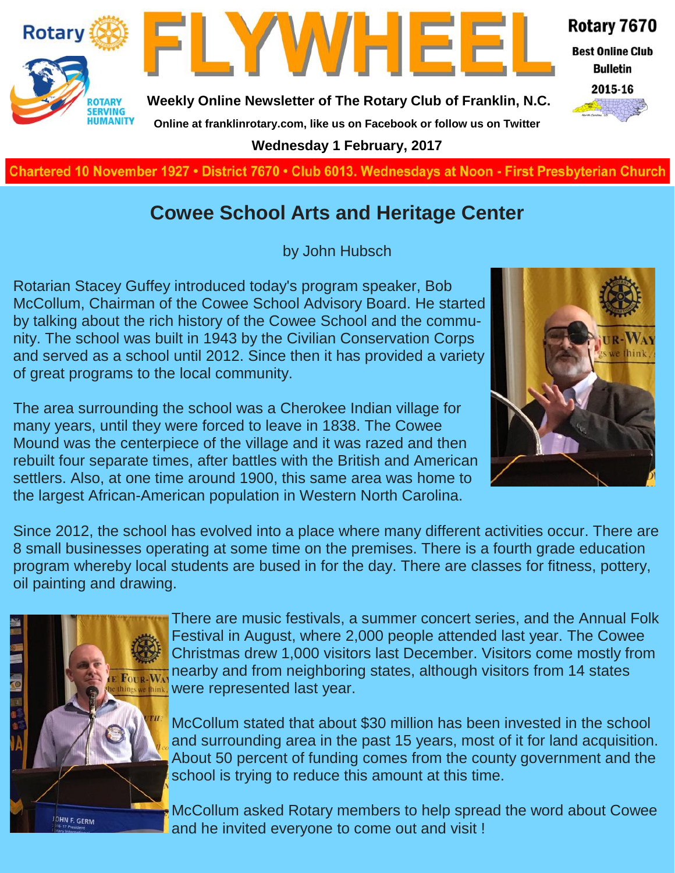

**Charted November 29, 1927 • District 7670 • Club 6013 Wednesdays at Noon - First Presbyterian Church**

### **Cowee School Arts and Heritage Center**

by John Hubsch

Rotarian Stacey Guffey introduced today's program speaker, Bob McCollum, Chairman of the Cowee School Advisory Board. He started by talking about the rich history of the Cowee School and the community. The school was built in 1943 by the Civilian Conservation Corps and served as a school until 2012. Since then it has provided a variety of great programs to the local community.

The area surrounding the school was a Cherokee Indian village for many years, until they were forced to leave in 1838. The Cowee Mound was the centerpiece of the village and it was razed and then rebuilt four separate times, after battles with the British and American settlers. Also, at one time around 1900, this same area was home to the largest African-American population in Western North Carolina.



Since 2012, the school has evolved into a place where many different activities occur. There are 8 small businesses operating at some time on the premises. There is a fourth grade education program whereby local students are bused in for the day. There are classes for fitness, pottery, oil painting and drawing.



There are music festivals, a summer concert series, and the Annual Folk Festival in August, where 2,000 people attended last year. The Cowee Christmas drew 1,000 visitors last December. Visitors come mostly from nearby and from neighboring states, although visitors from 14 states were represented last year.

McCollum stated that about \$30 million has been invested in the school and surrounding area in the past 15 years, most of it for land acquisition. About 50 percent of funding comes from the county government and the school is trying to reduce this amount at this time.

McCollum asked Rotary members to help spread the word about Cowee and he invited everyone to come out and visit !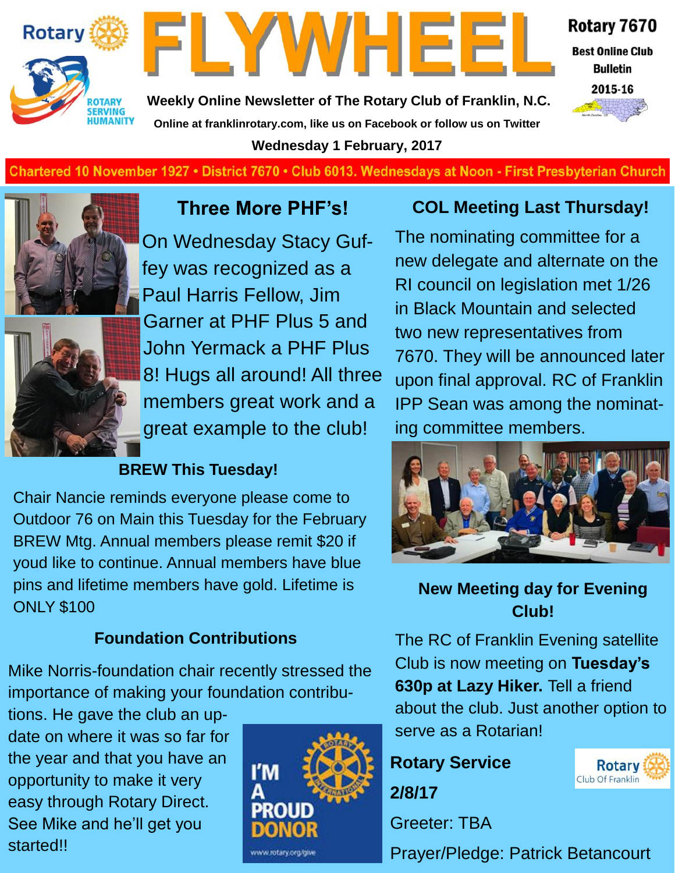



Rotary 7670

**Best Online Club Bulletin** 2015-16



**Weekly Online Newsletter of The Rotary Club of Franklin, N.C. Online at franklinrotary.com, like us on Facebook or follow us on Twitter Wednesday 1 February, 2017**

Chartered 10 November 1927 • District 7670 • Club 6013. Wednesdays at Noon - First Presbyterian Church



### **Three More PHF's!**

On Wednesday Stacy Guffey was recognized as a Paul Harris Fellow, Jim Garner at PHF Plus 5 and John Yermack a PHF Plus 8! Hugs all around! All three members great work and a great example to the club!

#### **BREW This Tuesday!**

Chair Nancie reminds everyone please come to Outdoor 76 on Main this Tuesday for the February BREW Mtg. Annual members please remit \$20 if youd like to continue. Annual members have blue pins and lifetime members have gold. Lifetime is ONLY \$100

#### **Foundation Contributions**

Mike Norris-foundation chair recently stressed the importance of making your foundation contribu-

tions. He gave the club an update on where it was so far for the year and that you have an opportunity to make it very easy through Rotary Direct. See Mike and he'll get you started!!



#### **COL Meeting Last Thursday!**

The nominating committee for a new delegate and alternate on the RI council on legislation met 1/26 in Black Mountain and selected two new representatives from 7670. They will be announced later upon final approval. RC of Franklin IPP Sean was among the nominating committee members.



#### **New Meeting day for Evening Club!**

The RC of Franklin Evening satellite Club is now meeting on **Tuesday's 630p at Lazy Hiker.** Tell a friend about the club. Just another option to serve as a Rotarian!

## **Rotary Service 2/8/17**

Greeter: TBA

Prayer/Pledge: Patrick Betancourt

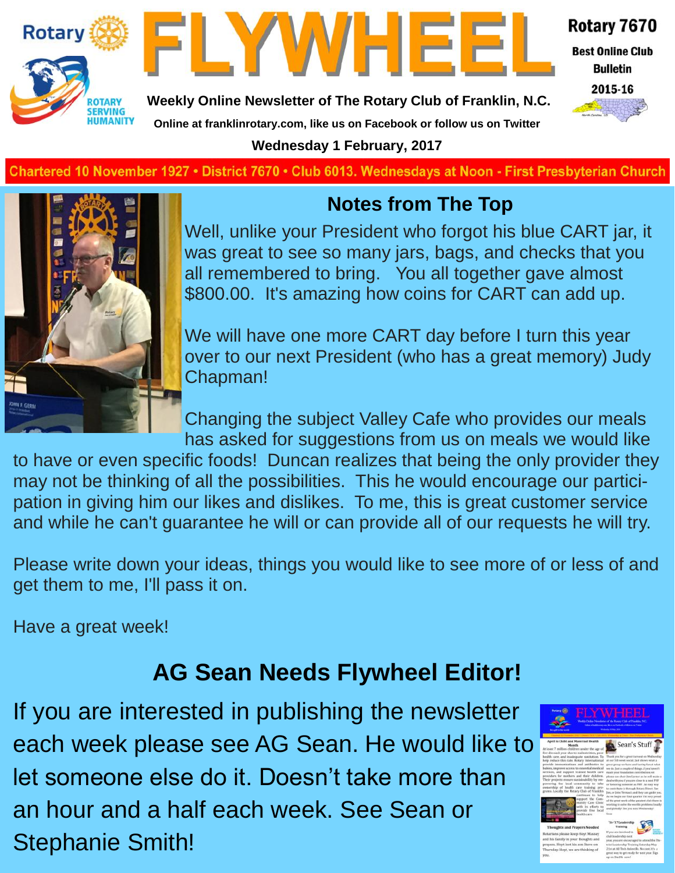



Rotary 7670

**Best Online Club Bulletin** 

2015-16

**Weekly Online Newsletter of The Rotary Club of Franklin, N.C.**

**Online at franklinrotary.com, like us on Facebook or follow us on Twitter**

**Wednesday 1 February, 2017**

**Charted November 29, 1927 • District 7670 • Club 6013 Wednesdays at Noon - First Presbyterian Church**



# **Notes from The Top**

Well, unlike your President who forgot his blue CART jar, it was great to see so many jars, bags, and checks that you all remembered to bring. You all together gave almost \$800.00. It's amazing how coins for CART can add up.

We will have one more CART day before I turn this year over to our next President (who has a great memory) Judy Chapman!

Changing the subject Valley Cafe who provides our meals has asked for suggestions from us on meals we would like

to have or even specific foods! Duncan realizes that being the only provider they may not be thinking of all the possibilities. This he would encourage our participation in giving him our likes and dislikes. To me, this is great customer service and while he can't guarantee he will or can provide all of our requests he will try.

Please write down your ideas, things you would like to see more of or less of and get them to me, I'll pass it on.

Have a great week!

# **AG Sean Needs Flywheel Editor!**

If you are interested in publishing the newsletter each week please see AG Sean. He would like to let someone else do it. Doesn't take more than an hour and a half each week. See Sean or Stephanie Smith!

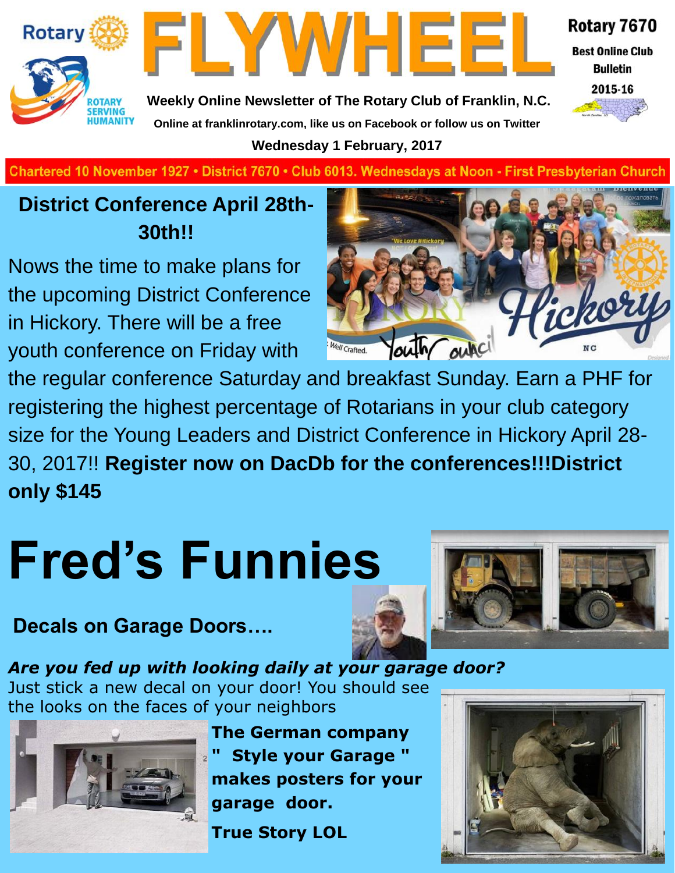



Rotary 7670

**Best Online Club Bulletin** 



**Weekly Online Newsletter of The Rotary Club of Franklin, N.C. Online at franklinrotary.com, like us on Facebook or follow us on Twitter**

**Wednesday 1 February, 2017**

**Charted November 29, 1927 • District 7670 • Club 6013 Wednesdays at Noon - First Presbyterian Church**

# **District Conference April 28th-30th!!**

Nows the time to make plans for the upcoming District Conference in Hickory. There will be a free youth conference on Friday with



the regular conference Saturday and breakfast Sunday. Earn a PHF for registering the highest percentage of Rotarians in your club category size for the Young Leaders and District Conference in Hickory April 28- 30, 2017!! **Register now on DacDb for the conferences!!!District only \$145**

# **Fred's Funnies**

# **Decals on Garage Doors….**



*Are you fed up with looking daily at your garage door?* Just stick a new decal on your door! You should see the looks on the faces of your neighbors



**The German company " Style your Garage " makes posters for your garage door.**

**True Story LOL**